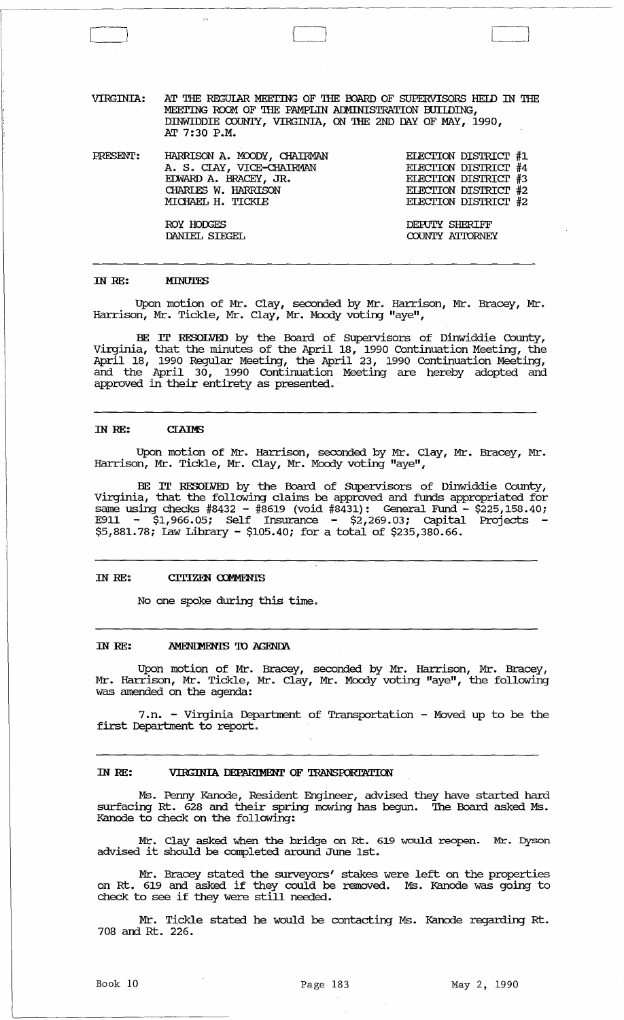| VIRGINIA: | AT THE REGULAR MEETING OF THE BOARD OF SUPERVISORS HELD IN THE |  |
|-----------|----------------------------------------------------------------|--|
|           | MEETING ROOM OF THE PAMPLIN ADMINISTRATION BUILDING,           |  |
|           | DINWIDDIE COUNTY, VIRGINIA, ON THE 2ND DAY OF MAY, 1990,       |  |
|           | AT 7:30 P.M.                                                   |  |

 $\left\{ \begin{array}{cc} 1 & 0 & 0 \\ 0 & 0 & 0 \\ 0 & 0 & 0 \\ 0 & 0 & 0 \\ 0 & 0 & 0 \\ 0 & 0 & 0 \\ 0 & 0 & 0 \\ 0 & 0 & 0 \\ 0 & 0 & 0 & 0 \\ 0 & 0 & 0 & 0 \\ 0 & 0 & 0 & 0 \\ 0 & 0 & 0 & 0 & 0 \\ 0 & 0 & 0 & 0 & 0 \\ 0 & 0 & 0 & 0 & 0 \\ 0 & 0 & 0 & 0 & 0 & 0 \\ 0 & 0 & 0 & 0 & 0 & 0 \\ 0 & 0 & 0 & 0 & 0 & 0 \\ 0$ 

PRESENT: HARRISON A. MOODY, CHAIRMAN A. S. *CIAY,* VICE-cHAIRMAN EmARD A. BRACEY, JR. CHARIES W. HARRISON MICHAEL H. TICKLE

> ROY HODGES DANIEL SIEGEL

::1

ELECTION DISTRICT #1 ELECTION DISTRICT #4 ELECTION DISTRICT #3 ELECTION DISTRICT #2 ELECTION DISTRICT #2

DEruTY SHERIFF COUNTY ATTORNEY

#### IN RE: **MINUTES**

Upon motion of Mr. Clay, seconded by Mr. Harrison, Mr. Bracey, Mr. Harrison, Mr. Tickle, Mr. Clay, Mr. Moody voting "aye",

BE IT RESOLVED by the Board of Supervisors of Dinwiddie County, Virginia, that the minutes of the April 18, 1990 Continuation Meeting, the April 18, 1990 Regular Meeting, the April 23, 1990 Continuation Meeting, and the April 30, 1990 Continuation Meeting are hereby adopted and approved in their entirety as presented.

#### IN RE: **CLAIMS**

Upon motion of Mr. Harrison, seconded by Mr. Clay, Mr. Bracey, Mr. Harrison, Mr. Tickle, Mr. Clay, Mr. Moody voting "aye",

BE IT RESOLVED by the Board of SUpervisors of Dinwiddie County, Virginia, that the following clam be approved and funds appropriated for same using checks #8432 - #8619 (void #8431): General Fund - \$225,158.40; E911 -  $\sin 1.966.05$ ; Self Insurance -  $\sin 2.269.03$ ; Capital Projects \$5,881.78; Law Library - \$105.40; for a total of \$235,380.66.

#### IN RE: CITIZEN COMMENTS

No one spoke during this time.

#### IN RE: AMENDMENTS TO AGENDA

Upon motion of Mr. Bracey, seconded by Mr. Harrison, Mr. Bracey, Mr. Harrison, Mr. Tickle, Mr. Clay, Mr. Moody voting "aye", the following was amended on the agenda:

7 .n. - Virginia Department of Transportation - Moved up to be the first Department to report.

# IN RE: VIRGINIA DEPARIMENT OF TRANSPORTATION

Ms. Penny Kanode, Resident Engineer, advised they have started hard surfacing Rt. 628 and their spring mowing has begun. '!he Board asked Ms. Kanode to check on the following:

Mr. Clay asked when the bridge on Rt. 619 would reopen. Mr. Dyson advised it should be completed around June 1st.

Mr. Bracey stated the surveyors' stakes were left on the properties on Rt. 619 and asked if they could be removed. Ms. Kanode was going to check to see if they were still needed.

Mr. Tickle stated he would be contacting Ms. Kanode regarding Rt. 708 and Rt. 226.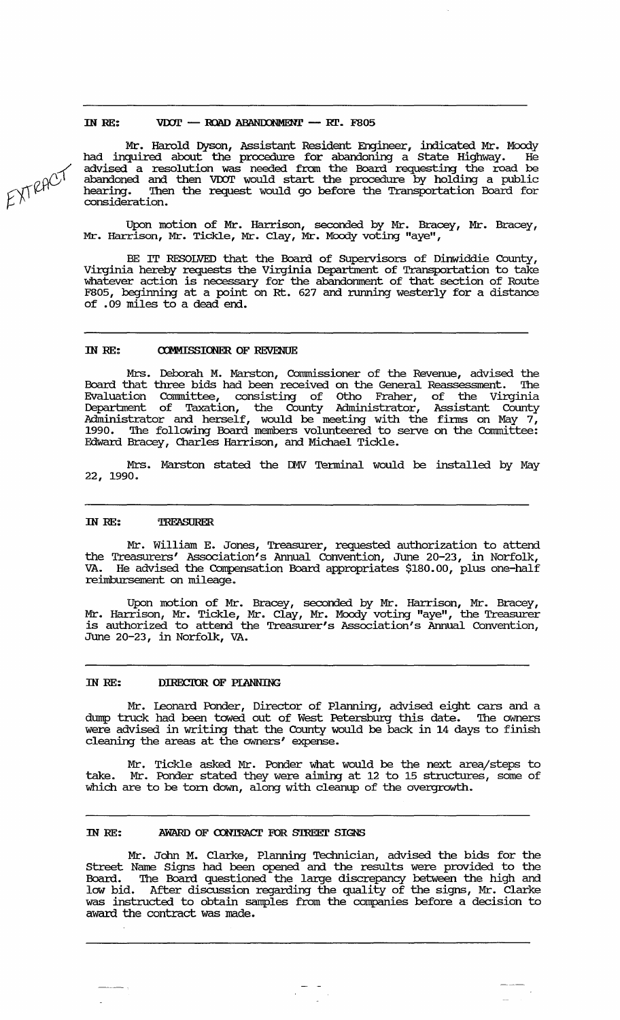# IN RE:  $VDOT - ROAD ABANDONMENT - RT. F805$

Mr. Harold Dyson, Assistant Resident Engineer, indicated Mr. Moody had inquired about the procedure for abandoning a state Highway. He advised a resolution was needed from the Board requesting the road be abandoned and then VDOT would start the procedure by holding a public hearing. 'Ihen the request would go before the Transportation Board for consideration.

Upon motion of Mr. Harrison, seconded by Mr. Bracey, Mr. Bracey, Mr. Harrison, Mr. Tickle, Mr. Clay, Mr. Moody voting "aye",

BE IT RESOLVED that the Board of Supervisors of Dinwiddie County, Virginia hereby requests the Virginia Department of Transportation to take whatever action is necessary for the abandornnent of that section of Route F805, beginning at a point on Rt. 627 and running westerly for a distance of .09 miles to a dead end.

### IN RE: **COMMISSIONER OF REVENUE**

Mrs. Deborah M. Marston, Commissioner of the Revenue, advised the Board that three bids had been received on the General Reassessment. 'Ihe Evaluation Committee, consisting of Otho Fraher, of the Virginia Department of Taxation, the County Administrator, Assistant County Administrator and herself, would be meeting with the firms on May  $7^+_1$ 1990. The following Board members volunteered to serve on the Committee: Edward Bracey, Charles Harrison, and Michael Tickle.

Mrs. Marston stated the Il1V Terminal would be installed by May 22, 1990.

# IN RE: TREASURER

Mr. William E. Jones, Treasurer, requested authorization to attend the Treasurers' Association's Annual convention, June 20-23, in Norfolk, He advised the Compensation Board appropriates \$180.00, plus one-half reimbursement on mileage.

Upon motion of Mr. Bracey, seconded by Mr. Harrison, Mr. Bracey, Mr. Harrison, Mr. Tickle, Mr. Clay, Mr. Moody voting "aye", the Treasurer is authorized to attend the Treasurer's Association's Annual convention, June 20-23, in Norfolk, VA.

### IN RE: DIRECTOR OF PIANNING

Mr. Leonard Ponder, Director of Planning, advised eight cars and a dmnp truck had been towed out of West Petersburg this date. 'Ihe owners were advised in writing that the County would be back in 14 days to finish cleaning the areas at the owners' expense.

Mr. Tickle asked Mr. Ponder what would be the next area/steps to take. Mr. Ponder stated they were aiming at 12 to 15 structures, some of which are to be torn down, along with cleanup of the overgrowth.

### IN RE: AWARD OF CONTRACT FOR STREET SIGNS

Mr. John M. Clarke, Planning Technician, advised the bids for the street Name Signs had been opened and the results were provided to the Board. 'Ihe Board questioned the large discrepancy between the high and low bid. After discussion regarding the quality of the signs, Mr. Clarke was instructed to obtain samples from the companies before a decision to award the contract was made.

EXTRACT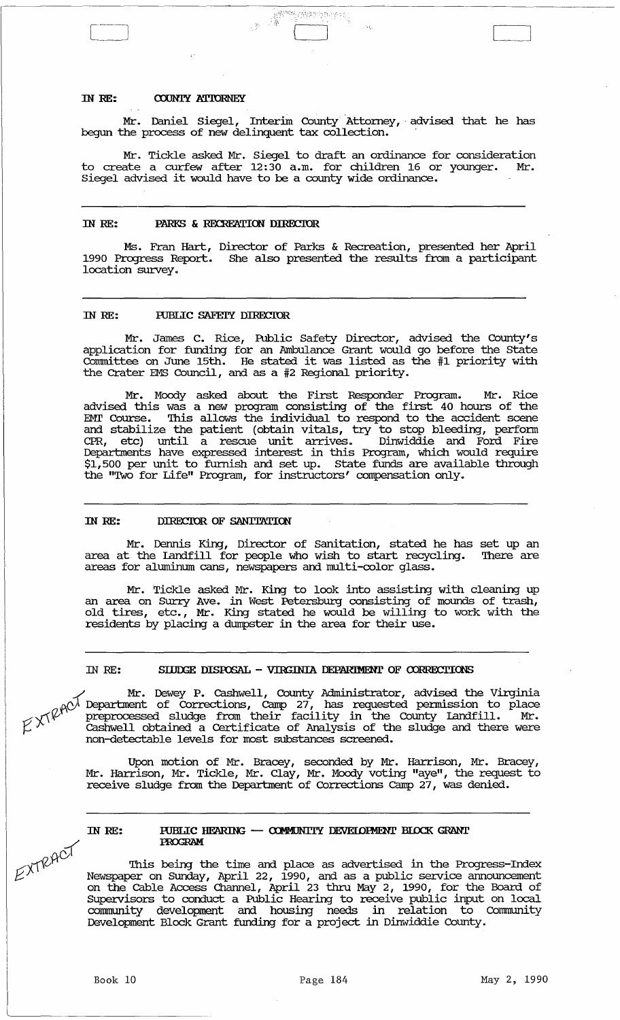#### IN RE: **COUNTY ATTORNEY**

 $\begin{bmatrix} \begin{matrix} \begin{matrix} \end{matrix} \\ \end{bmatrix} \end{bmatrix}$ 

Mr. Daniel Siegel, Interim County Attorney, advised that he has begun the process of new delinquent tax collection.

**全部的 (全球的制作的)** 

Mr. Tickle asked Mr. Siegel to draft an ordinance for consideration<br>ate a curfew after 12:30 a.m. for children 16 or vounger. Mr. to create a curfew after  $12:30$  a.m. for children 16 or younger. Siegel advised it would have to be a county wide ordinance.

### IN RE: PARKS & RECREATION DIRECTOR

Ms. Fran Hart, Director of Parks & Recreation, presented her April 1990 Progress Report. She also presented the results from a participant location survey.

# IN RE: PUBLIC SAFEIY DIRECTOR

Mr. James C. Rice, Public Safety Director, advised the County's application for funding for an Ambulance Grant would go before the State connnittee on June 15th. He stated it was listed as the #1 priority with the Crater EMS Council, and as a #2 Regional priority.

Mr. Moody asked about the First Responder Program. Mr. Rice advised this was a new program consisting of the first 40 hours of the EMT Course. This allows the individual to respond to the accident scene and stabilize the patient (obtain vitals, try to stop bleeding, perform CPR, etc) until a rescue unit arrives. Dinwiddie and Ford Fire Deparbnents have expressed interest in this Program, which would require \$1,500 per unit to furnish and set up. State funds are available through the "Two for Life" Program, for instructors' compensation only.

### IN RE: DIRECTOR OF SANITATION

Mr. Dennis King, Director of Sanitation, stated he has set up an area at the Landfill for people who wish to start recycling. There are areas for aluminum cans, newspapers and multi-color glass.

Mr. Tickle asked Mr. King to look into assisting with cleaning up an area on SUrry Ave. in West Petersburg consisting of mounds of trash, old tires, etc., Mr. King stated he would be willing to work with the residents by placing a dumpster in the area for their use.

### IN RE: SIJDGE DISPOSAL - VIRGINIA DEPARTMENT OF CORRECTIONS

Mr. Dewey P. Cashwell, County Administrator, advised the Virginia Mr. Dewey P. Cashwell, County Administrator, advised the Virginia pennission to place from their facility in the County Landfill. Mr.  $f(\vec{X})$  Cashwell obtained a Certificate of Analysis of the sludge and there were cashwell obtained a Certificate of Analysis of the sludge and there were<br>non-detectable levels for most substances screened.

> Upon motion of Mr. Bracey, seconded by Mr. Harrison, Mr. Bracey, Mr. Harrison, Mr. Tickle, Mr. Clay, Mr. Moody voting "aye", the request to receive sludge from the Department of Corrections Camp 27, was denied.

# IN RE:

EXTRACT

## PUBLIC HEARING - COMMUNITY DEVELOPMENT BLOCK GRANT PROGRAM

This being the time and place as advertised in the Progress-Index Newspaper on Sunday, April 22, 1990, and as a public service announcement on the cable Access Channel, April 23 thru May 2, 1990, for the Board of supervisors to conduct a Public Hearing to receive public input on local co.mmunity development and housing needs in relation to Community Development Block Grant funding for a proj ect in Dinwiddie County.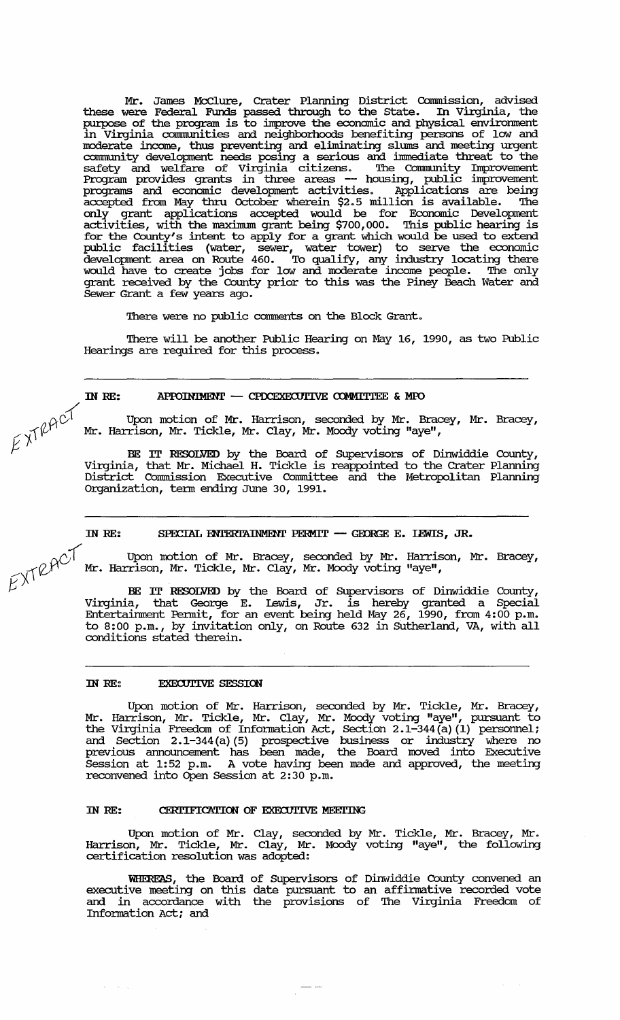Mr. James McClure, Crater Planning District Commission, advised these were Federal Funds passed through to the state. In Virginia, the purpose of the program is to improve the economic and physical enviromnent in Virginia conununities and neighbomoods benefiting persons of low and moderate income, thus preventing and eliminating slums and meeting urgent community development needs posing a serious and immediate threat to the safety and welfare of Virginia citizens. The COrmnunity Improvement Program provides grants in three areas **--** housing, public improvement programs and economic development activities. Applications are being accepted from May thru October wherein \$2.5 million is available. The only grant applications accepted would be for Economic Development activities, with the maximum grant being \$700,000. This public hearing is for the County's intent to apply for a grant which would be used to extend public facilities (water, sewer, water tower) to serve the economic development area on Route 460. To qualify, any industry locating there would have to create jobs for low and moderate income people. The only grant received by the County prior to this was the Piney Beach Water and Sewer Grant a few years ago.

There were no public comments on the Block Grant.

There will be another Public Hearing on May 16, 1990, as two Public Hearings are required for this process.

# IN RE: APPOINTMENT - CPDCEXECUTIVE COMMITTEE & MPO

 $\beta^{\gamma}$   $\beta^{\gamma}$  are upon motion of Mr. Harrison, seconded by Mr. Bracey, Mr. Bracey, Mr. Harrison, Mr. Tickle, Mr. Clay, Mr. Moody voting "aye",

BE IT RESOLVED by the Board of SUpervisors of Dinwiddie County, Virginia, that Mr. Michael H. Tickle is reappointed to the Crater Plarming District Commission Executive Cormnittee and the Metropolitan Plarming Organization, tenn ending June 30, 1991.

IN RE: SPECIAL ENIERTAINMENT PERMIT - GEORGE E. LEWIS, JR.

Upon motion of Mr. Bracey, seconded by Mr. Harrison, Mr. Bracey, Mr. Harrison, Mr. Tickle, Mr. Clay, Mr. Moody voting "aye",

BE IT RESOLVED by the Board of Supervisors of Dinwiddie County, Virginia, that George E. lewis, Jr. is hereby granted a Special Entertaimnent Pennit, for an event being held May 26, 1990, from 4:00 p.m. to 8: 00 p.m., by invitation only, on Route 632 in SUtherland, VA, with all conditions stated therein.

### IN RE: EXECUTIVE SESSION

 $\omega_{\rm{max}}$  and  $\omega_{\rm{max}}$ 

Upon motion of Mr. Harrison, seconded by Mr. Tickle, Mr. Bracey, Mr. Harrison, Mr. Tickle, Mr. Clay, Mr. Moody voting "aye", pursuant to the Virginia Freedom of Infonnation Act, Section 2.1-344 (a) (1) personnel; and Section 2.1-344 (a) (5) prospective business or industry where no previous announcement has been made, the Board moved into Executive Session at 1:52 p.m. A vote having been made and approved, the meeting reconvened into Open Session at 2:30 p.m.

# IN RE: CERTIFICATION OF EXECUTIVE MEETING

Upon motion of Mr. Clay, seconded by Mr. Tickle, Mr. Bracey, Mr. Harrison, Mr. Tickle, Mr. Clay, Mr. Moody voting "aye", the following certification resolution was adopted:

WHEREAS, the Board of Supervisors of Dinwiddie County convened an executive meeting on this date pursuant to an affinnative recorded vote and in accordance with the provisions of The Virginia Freedom of Information Act; and

 $E^{XTRACT}$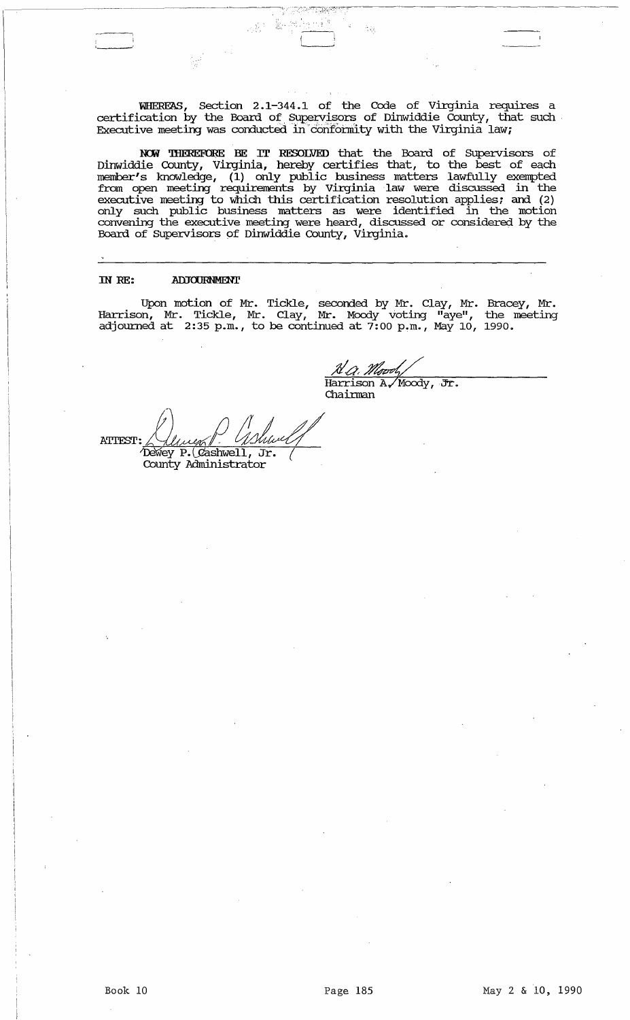WHEREAS, section 2.1-344.1 of the Code of Virginia requires a certification by the Board of Supervisors of Dinwiddie County, that such Executive meeting was conducted in conformity with the Virginia law;

NOW THEREFORE BE IT RESOLVED that the Board of Supervisors of Dinwiddie County, Virginia, hereby certifies that, to the best of each member's lmowledge, (1) only public business matters lawfully exempted from open meeting requirements by virginia ,law were discussed in the executive meeting to which this certification resolution applies; and (2) only such public business matters as were identified in the motion convening the executive meeting were heard, discussed or considered by the Board of Supervisors of Dinwiddie County, Virginia.

#### IN RE: **ADJOURNMENT**

'---'

Upon motion of Mr. Tickle, seconded by Mr. Clay, Mr. Bracey, Mr. Harrison, Mr. Tickle, Mr. Clay, Mr. Moody voting "aye", the meeting adjourned at  $2:35$  p.m., to be continued at  $7:00$  p.m., May 10, 1990.

A.a. Moody

Harrison A, Moody, Jr.<br>Chairman

ATTEST: Ulwer Blower 1 County Administrator

:".'. -----,